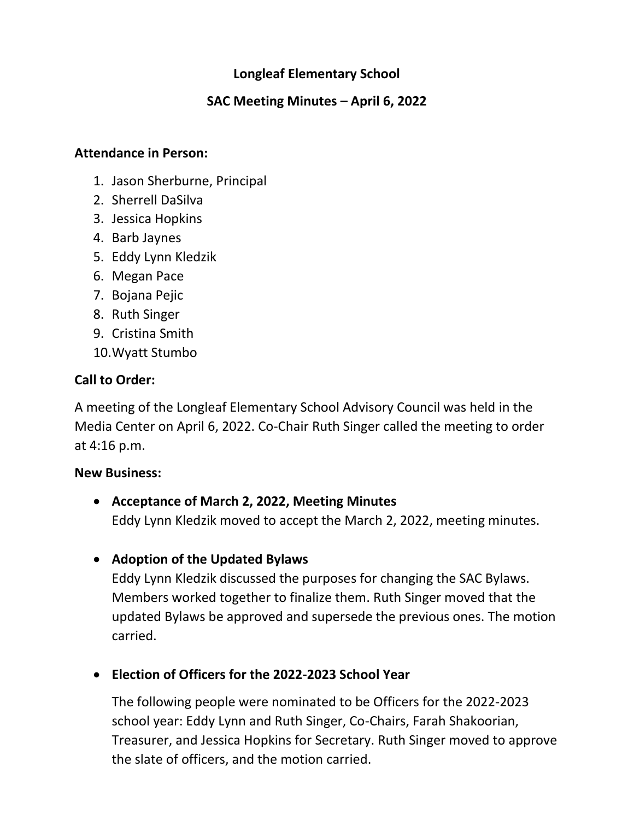## **Longleaf Elementary School**

## **SAC Meeting Minutes – April 6, 2022**

#### **Attendance in Person:**

- 1. Jason Sherburne, Principal
- 2. Sherrell DaSilva
- 3. Jessica Hopkins
- 4. Barb Jaynes
- 5. Eddy Lynn Kledzik
- 6. Megan Pace
- 7. Bojana Pejic
- 8. Ruth Singer
- 9. Cristina Smith
- 10.Wyatt Stumbo

## **Call to Order:**

A meeting of the Longleaf Elementary School Advisory Council was held in the Media Center on April 6, 2022. Co-Chair Ruth Singer called the meeting to order at 4:16 p.m.

#### **New Business:**

- **Acceptance of March 2, 2022, Meeting Minutes** Eddy Lynn Kledzik moved to accept the March 2, 2022, meeting minutes.
- **Adoption of the Updated Bylaws**

Eddy Lynn Kledzik discussed the purposes for changing the SAC Bylaws. Members worked together to finalize them. Ruth Singer moved that the updated Bylaws be approved and supersede the previous ones. The motion carried.

• **Election of Officers for the 2022-2023 School Year**

The following people were nominated to be Officers for the 2022-2023 school year: Eddy Lynn and Ruth Singer, Co-Chairs, Farah Shakoorian, Treasurer, and Jessica Hopkins for Secretary. Ruth Singer moved to approve the slate of officers, and the motion carried.